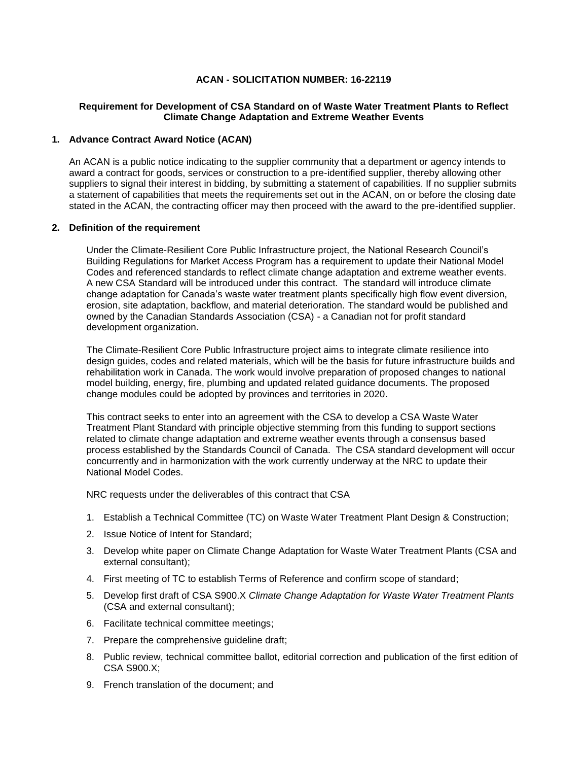## **ACAN - SOLICITATION NUMBER: 16-22119**

# **Requirement for Development of CSA Standard on of Waste Water Treatment Plants to Reflect Climate Change Adaptation and Extreme Weather Events**

#### **1. Advance Contract Award Notice (ACAN)**

An ACAN is a public notice indicating to the supplier community that a department or agency intends to award a contract for goods, services or construction to a pre-identified supplier, thereby allowing other suppliers to signal their interest in bidding, by submitting a statement of capabilities. If no supplier submits a statement of capabilities that meets the requirements set out in the ACAN, on or before the closing date stated in the ACAN, the contracting officer may then proceed with the award to the pre-identified supplier.

#### **2. Definition of the requirement**

Under the Climate-Resilient Core Public Infrastructure project, the National Research Council's Building Regulations for Market Access Program has a requirement to update their National Model Codes and referenced standards to reflect climate change adaptation and extreme weather events. A new CSA Standard will be introduced under this contract. The standard will introduce climate change adaptation for Canada's waste water treatment plants specifically high flow event diversion, erosion, site adaptation, backflow, and material deterioration. The standard would be published and owned by the Canadian Standards Association (CSA) - a Canadian not for profit standard development organization.

The Climate-Resilient Core Public Infrastructure project aims to integrate climate resilience into design guides, codes and related materials, which will be the basis for future infrastructure builds and rehabilitation work in Canada. The work would involve preparation of proposed changes to national model building, energy, fire, plumbing and updated related guidance documents. The proposed change modules could be adopted by provinces and territories in 2020.

This contract seeks to enter into an agreement with the CSA to develop a CSA Waste Water Treatment Plant Standard with principle objective stemming from this funding to support sections related to climate change adaptation and extreme weather events through a consensus based process established by the Standards Council of Canada. The CSA standard development will occur concurrently and in harmonization with the work currently underway at the NRC to update their National Model Codes.

NRC requests under the deliverables of this contract that CSA

- 1. Establish a Technical Committee (TC) on Waste Water Treatment Plant Design & Construction;
- 2. Issue Notice of Intent for Standard;
- 3. Develop white paper on Climate Change Adaptation for Waste Water Treatment Plants (CSA and external consultant);
- 4. First meeting of TC to establish Terms of Reference and confirm scope of standard;
- 5. Develop first draft of CSA S900.X *Climate Change Adaptation for Waste Water Treatment Plants* (CSA and external consultant);
- 6. Facilitate technical committee meetings;
- 7. Prepare the comprehensive guideline draft;
- 8. Public review, technical committee ballot, editorial correction and publication of the first edition of CSA S900.X;
- 9. French translation of the document; and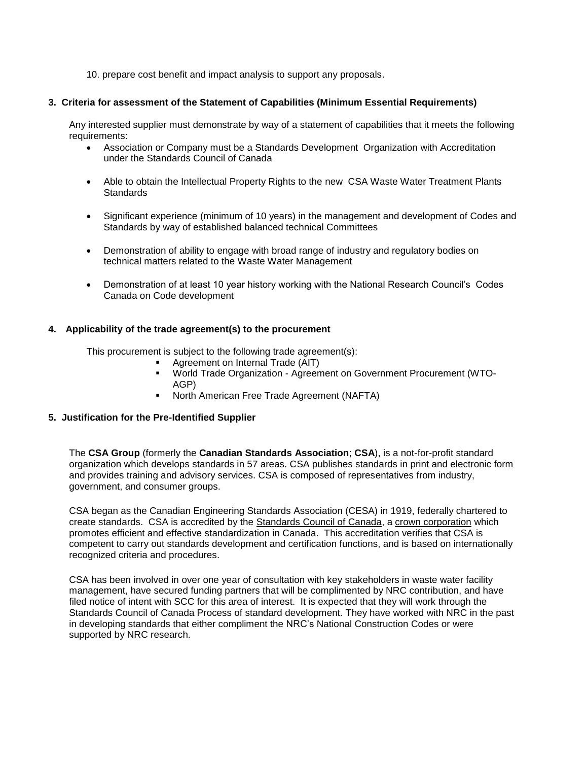10. prepare cost benefit and impact analysis to support any proposals.

#### **3. Criteria for assessment of the Statement of Capabilities (Minimum Essential Requirements)**

Any interested supplier must demonstrate by way of a statement of capabilities that it meets the following requirements:

- Association or Company must be a Standards Development Organization with Accreditation under the Standards Council of Canada
- Able to obtain the Intellectual Property Rights to the new CSA Waste Water Treatment Plants **Standards**
- Significant experience (minimum of 10 years) in the management and development of Codes and Standards by way of established balanced technical Committees
- Demonstration of ability to engage with broad range of industry and regulatory bodies on technical matters related to the Waste Water Management
- Demonstration of at least 10 year history working with the National Research Council's Codes Canada on Code development

# **4. Applicability of the trade agreement(s) to the procurement**

This procurement is subject to the following trade agreement(s):

- Agreement on Internal Trade (AIT)
- World Trade Organization Agreement on Government Procurement (WTO-AGP)
- **North American Free Trade Agreement (NAFTA)**

# **5. Justification for the Pre-Identified Supplier**

The **CSA Group** (formerly the **Canadian Standards Association**; **CSA**), is a not-for-profit standard organization which develops standards in 57 areas. CSA publishes standards in print and electronic form and provides training and advisory services. CSA is composed of representatives from industry, government, and consumer groups.

CSA began as the Canadian Engineering Standards Association (CESA) in 1919, federally chartered to create standards. CSA is accredited by the [Standards Council of Canada,](https://en.wikipedia.org/wiki/Standards_Council_of_Canada) a [crown corporation](https://en.wikipedia.org/wiki/Crown_corporation) which promotes efficient and effective standardization in Canada. This accreditation verifies that CSA is competent to carry out standards development and certification functions, and is based on internationally recognized criteria and procedures.

CSA has been involved in over one year of consultation with key stakeholders in waste water facility management, have secured funding partners that will be complimented by NRC contribution, and have filed notice of intent with SCC for this area of interest. It is expected that they will work through the Standards Council of Canada Process of standard development. They have worked with NRC in the past in developing standards that either compliment the NRC's National Construction Codes or were supported by NRC research.